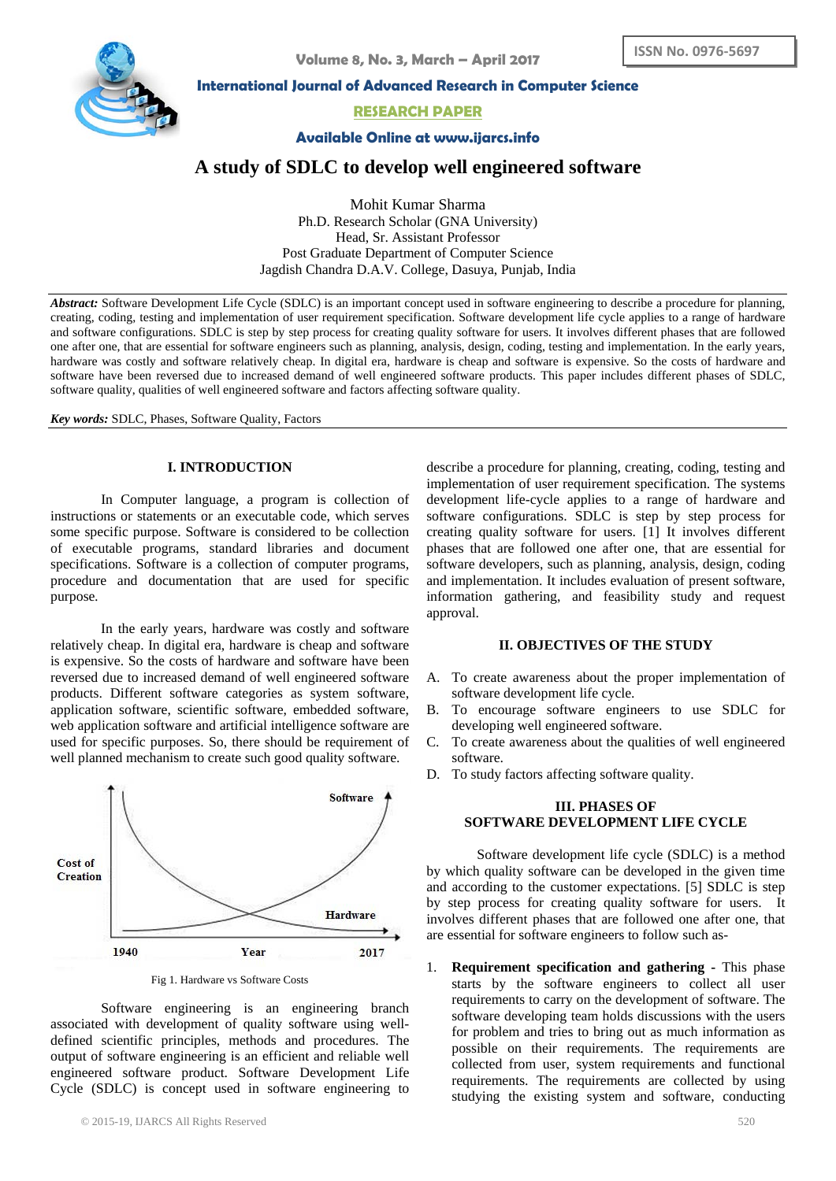

**International Journal of Advanced Research in Computer Science**

# **RESEARCH PAPER**

**Available Online at www.ijarcs.info**

# **A study of SDLC to develop well engineered software**

Mohit Kumar Sharma Ph.D. Research Scholar (GNA University) Head, Sr. Assistant Professor Post Graduate Department of Computer Science Jagdish Chandra D.A.V. College, Dasuya, Punjab, India

*Abstract:* Software Development Life Cycle (SDLC) is an important concept used in software [engineering](http://en.wikipedia.org/wiki/Systems_engineering) to describe a procedure for planning, creating, coding, testing and implementation of user requirement specification. Software development life cycle applies to a range of hardware and software configurations. SDLC is step by step process for creating quality software for users. It involves different phases that are followed one after one, that are essential for software engineers such as [planning,](http://en.wikipedia.org/wiki/Planning) [analysis,](http://en.wikipedia.org/wiki/Analysis) [design,](http://en.wikipedia.org/wiki/Design) coding, testing and [implementation.](http://en.wikipedia.org/wiki/Implementation) In the early years, hardware was costly and software relatively cheap. In digital era, hardware is cheap and software is expensive. So the costs of hardware and software have been reversed due to increased demand of well engineered software products. This paper includes different phases of SDLC, software quality, qualities of well engineered software and factors affecting software quality.

*Key words:* SDLC, Phases, Software Quality, Factors

## **I. INTRODUCTION**

In Computer language, a program is collection of instructions or statements or an executable code, which serves some specific purpose. Software is considered to be collection of executable programs, standard libraries and document specifications. Software is a collection of computer programs, procedure and documentation that are used for specific purpose*.*

In the early years, hardware was costly and software relatively cheap. In digital era, hardware is cheap and software is expensive. So the costs of hardware and software have been reversed due to increased demand of well engineered software products. Different software categories as system software, application software, scientific software, embedded software, web application software and artificial intelligence software are used for specific purposes. So, there should be requirement of well planned mechanism to create such good quality software.



Fig 1. Hardware vs Software Costs

Software engineering is an engineering branch associated with development of quality software using welldefined scientific principles, methods and procedures. The output of software engineering is an efficient and reliable well engineered software product. Software Development Life Cycle (SDLC) is concept used in [software engineering](http://en.wikipedia.org/wiki/Systems_engineering) to describe a procedure for planning, creating, coding, testing and implementation of user requirement specification. The systems development life-cycle applies to a range of hardware and software configurations. SDLC is step by step process for creating quality software for users. [1] It involves different phases that are followed one after one, that are essential for software developers, such as [planning,](http://en.wikipedia.org/wiki/Planning) [analysis,](http://en.wikipedia.org/wiki/Analysis) [design,](http://en.wikipedia.org/wiki/Design) coding and [implementation.](http://en.wikipedia.org/wiki/Implementation) It includes evaluation of present software, information gathering, and feasibility study and request approval.

#### **II. OBJECTIVES OF THE STUDY**

- A. To create awareness about the proper implementation of software development life cycle.
- B. To encourage software engineers to use SDLC for developing well engineered software.
- C. To create awareness about the qualities of well engineered software.
- D. To study factors affecting software quality.

# **III. PHASES OF SOFTWARE DEVELOPMENT LIFE CYCLE**

Software development life cycle (SDLC) is a method by which quality software can be developed in the given time and according to the customer expectations. [5] SDLC is step by step process for creating quality software for users. It involves different phases that are followed one after one, that are essential for software engineers to follow such as-

1. **Requirement specification and gathering -** This phase starts by the software engineers to collect all user requirements to carry on the development of software. The software developing team holds discussions with the users for problem and tries to bring out as much information as possible on their requirements. The requirements are collected from user, system requirements and functional requirements. The requirements are collected by using studying the existing system and software, conducting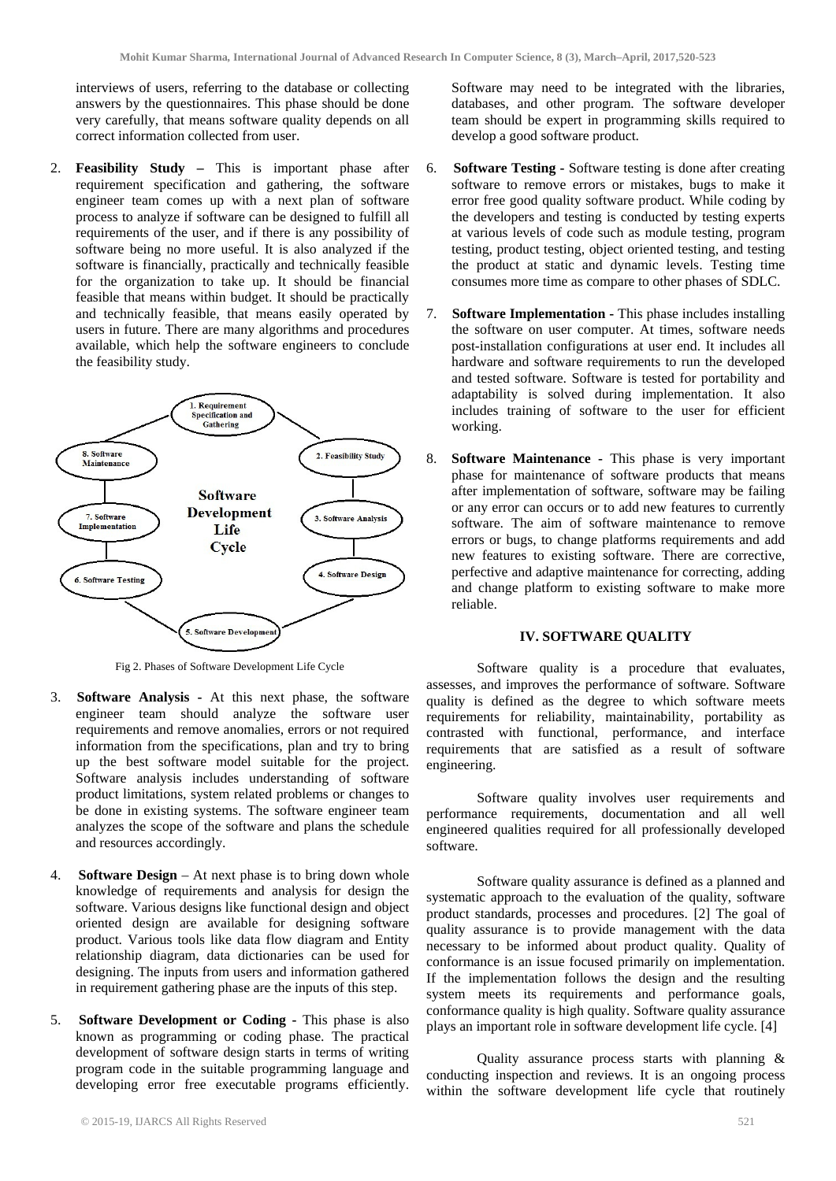interviews of users, referring to the database or collecting answers by the questionnaires. This phase should be done very carefully, that means software quality depends on all correct information collected from user.

2. **Feasibility Study –** This is important phase after requirement specification and gathering, the software engineer team comes up with a next plan of software process to analyze if software can be designed to fulfill all requirements of the user, and if there is any possibility of software being no more useful. It is also analyzed if the software is financially, practically and technically feasible for the organization to take up. It should be financial feasible that means within budget. It should be practically and technically feasible, that means easily operated by users in future. There are many algorithms and procedures available, which help the software engineers to conclude the feasibility study.



Fig 2. Phases of Software Development Life Cycle

- 3. **Software Analysis -** At this next phase, the software engineer team should analyze the software user requirements and remove anomalies, errors or not required information from the specifications, plan and try to bring up the best software model suitable for the project. Software analysis includes understanding of software product limitations, system related problems or changes to be done in existing systems. The software engineer team analyzes the scope of the software and plans the schedule and resources accordingly.
- 4. **Software Design**  At next phase is to bring down whole knowledge of requirements and analysis for design the software. Various designs like functional design and object oriented design are available for designing software product. Various tools like data flow diagram and Entity relationship diagram, data dictionaries can be used for designing. The inputs from users and information gathered in requirement gathering phase are the inputs of this step.
- 5. **Software Development or Coding -** This phase is also known as programming or coding phase. The practical development of software design starts in terms of writing program code in the suitable programming language and developing error free executable programs efficiently.

Software may need to be integrated with the libraries, databases, and other program. The software developer team should be expert in programming skills required to develop a good software product.

- 6. **Software Testing -** Software testing is done after creating software to remove errors or mistakes, bugs to make it error free good quality software product. While coding by the developers and testing is conducted by testing experts at various levels of code such as module testing, program testing, product testing, object oriented testing, and testing the product at static and dynamic levels. Testing time consumes more time as compare to other phases of SDLC.
- 7. **Software Implementation -** This phase includes installing the software on user computer. At times, software needs post-installation configurations at user end. It includes all hardware and software requirements to run the developed and tested software. Software is tested for portability and adaptability is solved during implementation. It also includes training of software to the user for efficient working.
- 8. **Software Maintenance -** This phase is very important phase for maintenance of software products that means after implementation of software, software may be failing or any error can occurs or to add new features to currently software. The aim of software maintenance to remove errors or bugs, to change platforms requirements and add new features to existing software. There are corrective, perfective and adaptive maintenance for correcting, adding and change platform to existing software to make more reliable.

#### **IV. SOFTWARE QUALITY**

Software quality is a procedure that evaluates, assesses, and improves the performance of software. Software quality is defined as the degree to which software meets requirements for reliability, maintainability, portability as contrasted with functional, performance, and interface requirements that are satisfied as a result of software engineering.

Software quality involves user requirements and performance requirements, documentation and all well engineered qualities required for all professionally developed software.

Software quality assurance is defined as a planned and systematic approach to the evaluation of the quality, software product standards, processes and procedures. [2] The goal of quality assurance is to provide management with the data necessary to be informed about product quality. Quality of conformance is an issue focused primarily on implementation. If the implementation follows the design and the resulting system meets its requirements and performance goals, conformance quality is high quality. Software quality assurance plays an important role in software development life cycle. [4]

Quality assurance process starts with planning & conducting inspection and reviews. It is an ongoing process within the software development life cycle that routinely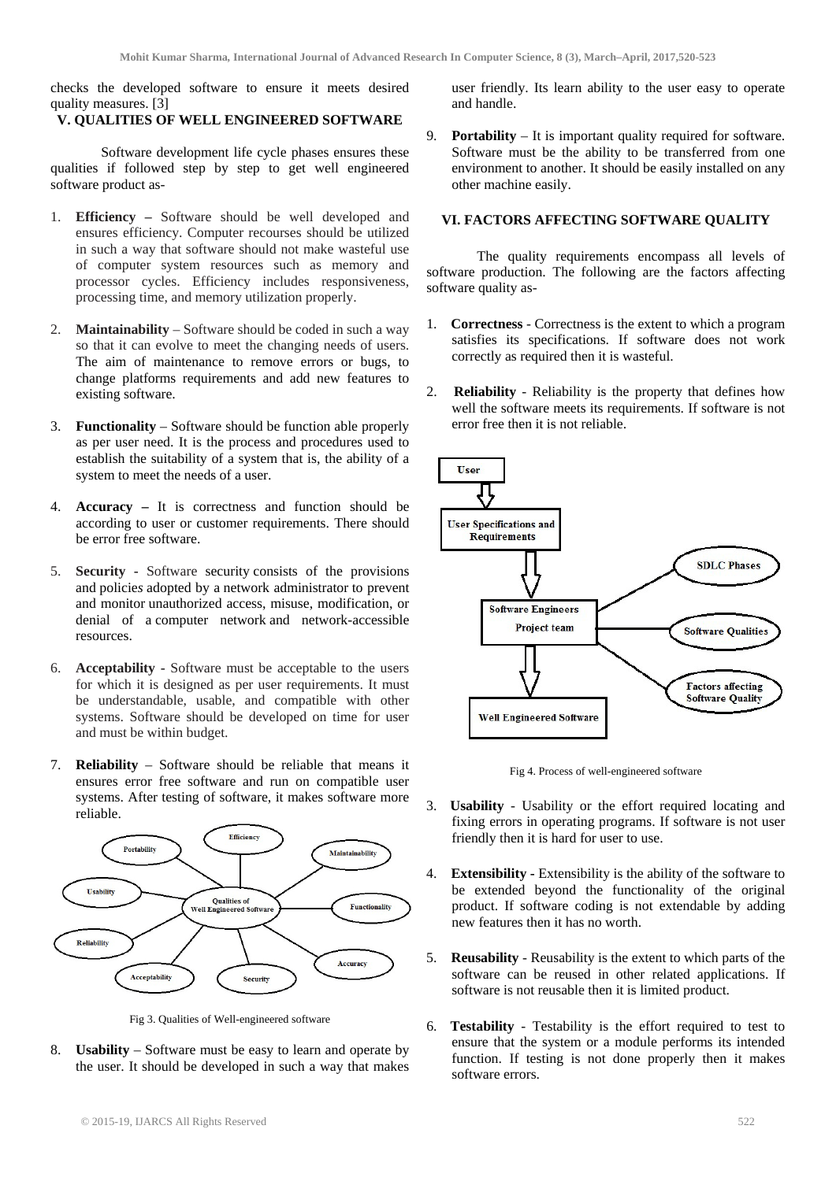checks the developed software to ensure it meets desired quality measures. [3]

# **V. QUALITIES OF WELL ENGINEERED SOFTWARE**

Software development life cycle phases ensures these qualities if followed step by step to get well engineered software product as-

- 1. **Efficiency –** Software should be well developed and ensures efficiency. Computer recourses should be utilized in such a way that software should not make wasteful use of computer system resources such as memory and processor cycles. Efficiency includes responsiveness, processing time, and memory utilization properly.
- 2. **Maintainability**  Software should be coded in such a way so that it can evolve to meet the changing needs of users. The aim of maintenance to remove errors or bugs, to change platforms requirements and add new features to existing software.
- 3. **Functionality**  Software should be function able properly as per user need. It is the process and procedures used to establish the suitability of a system that is, the ability of a system to meet the needs of a user.
- Accuracy It is correctness and function should be according to user or customer requirements. There should be error free software.
- 5. **Security -** Software security consists of the provisions and [policie](http://en.wikipedia.org/wiki/Policies)*s* adopted by a [network administrator](http://en.wikipedia.org/wiki/Network_administrator) to prevent and monitor [unauthorized](http://en.wikipedia.org/wiki/Unauthorized) access, misuse, modification, or denial of a [computer network](http://en.wikipedia.org/wiki/Computer_network) and network-accessible resources.
- 6. **Acceptability -** Software must be acceptable to the users for which it is designed as per user requirements. It must be understandable, usable, and compatible with other systems. Software should be developed on time for user and must be within budget.
- 7. **Reliability**  Software should be reliable that means it ensures error free software and run on compatible user systems. After testing of software, it makes software more reliable.



Fig 3. Qualities of Well-engineered software

8. **Usability** – Software must be easy to learn and operate by the user. It should be developed in such a way that makes user friendly. Its learn ability to the user easy to operate and handle.

9. **Portability** – It is important quality required for software. Software must be the ability to be transferred from one environment to another. It should be easily installed on any other machine easily.

#### **VI. FACTORS AFFECTING SOFTWARE QUALITY**

The quality requirements encompass all levels of software production. The following are the factors affecting software quality as-

- 1. **Correctness** Correctness is the extent to which a program satisfies its specifications. If software does not work correctly as required then it is wasteful.
- 2. **Reliability**  Reliability is the property that defines how well the software meets its requirements. If software is not error free then it is not reliable.



Fig 4. Process of well-engineered software

- 3. **Usability**  Usability or the effort required locating and fixing errors in operating programs. If software is not user friendly then it is hard for user to use.
- 4. **Extensibility -** Extensibility is the ability of the software to be extended beyond the functionality of the original product. If software coding is not extendable by adding new features then it has no worth.
- 5. **Reusability** Reusability is the extent to which parts of the software can be reused in other related applications. If software is not reusable then it is limited product.
- 6. **Testability** Testability is the effort required to test to ensure that the system or a module performs its intended function. If testing is not done properly then it makes software errors.